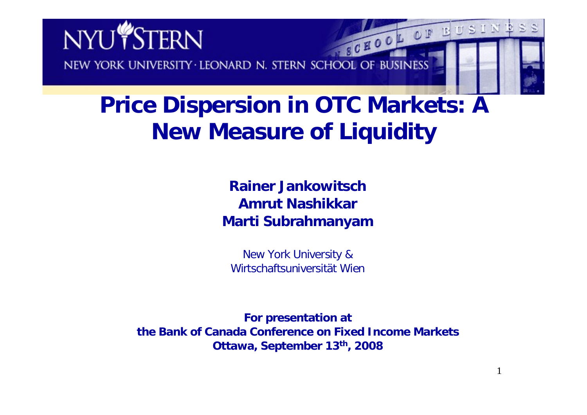

# **Price Dispersion in OTC Markets: A New Measure of Liquidity**

**Rainer JankowitschAmrut NashikkarMarti Subrahmanyam**

New York University & Wirtschaftsuniversität Wien

**For presentation at the Bank of Canada Conference on Fixed Income MarketsOttawa, September 13th, 2008**

1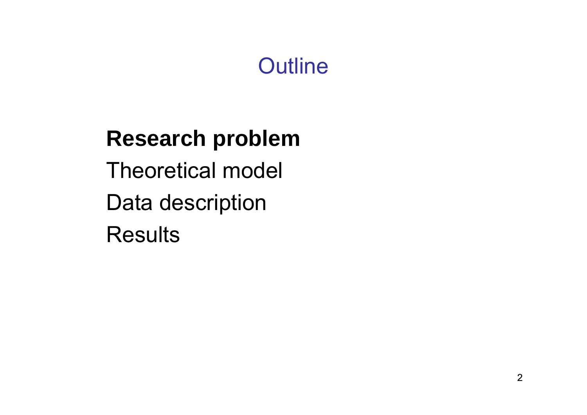# **Outline**

# **Research problem** Theoretical model Data description **Results**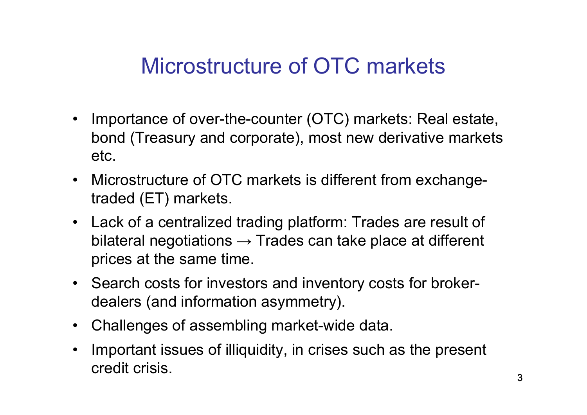# Microstructure of OTC markets

- Importance of over-the-counter (OTC) markets: Real estate, bond (Treasury and corporate), most new derivative markets etc.
- Microstructure of OTC markets is different from exchangetraded (ET) markets.
- Lack of a centralized trading platform: Trades are result of bilateral negotiations  $\rightarrow$  Trades can take place at different prices at the same time.
- Search costs for investors and inventory costs for brokerdealers (and information asymmetry).
- Challenges of assembling market-wide data.
- • Important issues of illiquidity, in crises such as the present credit crisis.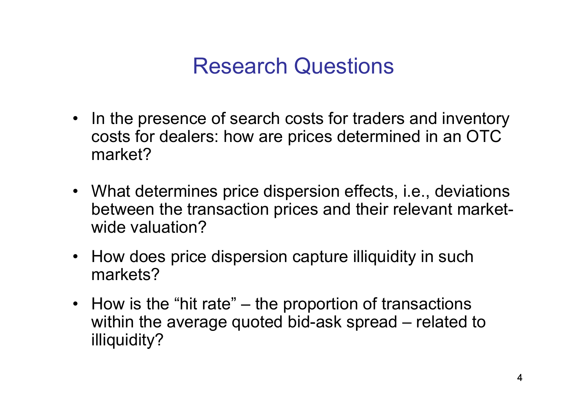#### Research Questions

- In the presence of search costs for traders and inventory costs for dealers: how are prices determined in an OTC market?
- What determines price dispersion effects, i.e., deviations between the transaction prices and their relevant marketwide valuation?
- How does price dispersion capture illiquidity in such markets?
- How is the "hit rate" the proportion of transactions within the average quoted bid-ask spread – related to illiquidity?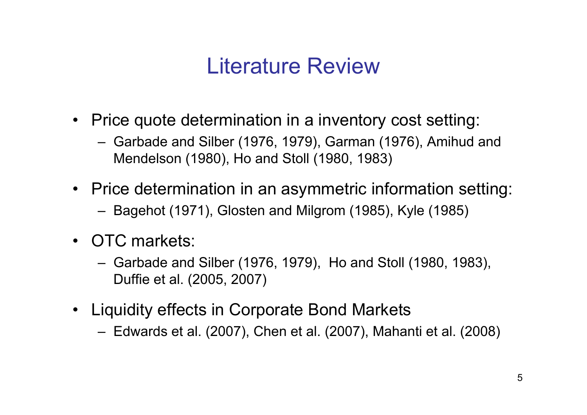### Literature Review

- Price quote determination in a inventory cost setting:
	- Garbade and Silber (1976, 1979), Garman (1976), Amihud and Mendelson (1980), Ho and Stoll (1980, 1983)
- Price determination in an asymmetric information setting:
	- Bagehot (1971), Glosten and Milgrom (1985), Kyle (1985)
- OTC markets:
	- Garbade and Silber (1976, 1979), Ho and Stoll (1980, 1983), Duffie et al. (2005, 2007)
- Liquidity effects in Corporate Bond Markets
	- Edwards et al. (2007), Chen et al. (2007), Mahanti et al. (2008)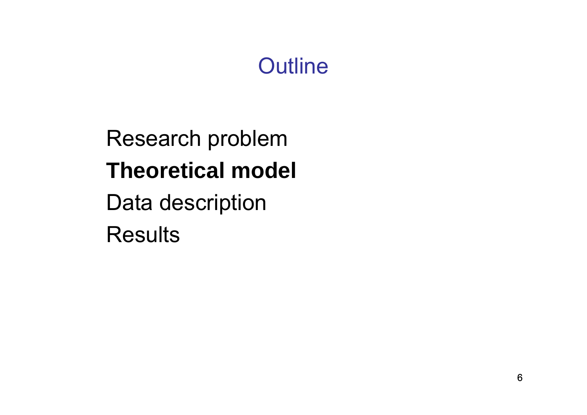# **Outline**

Research problem **Theoretical model** Data description **Results**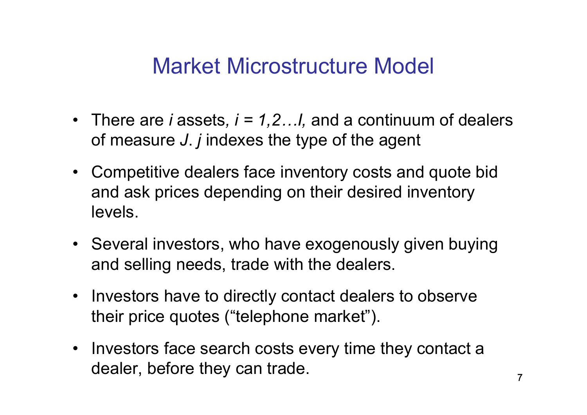#### Market Microstructure Model

- There are *i* assets*, i = 1,2…I,* and a continuum of dealers of measure *J*. *j* indexes the type of the agent
- Competitive dealers face inventory costs and quote bid and ask prices depending on their desired inventory levels.
- Several investors, who have exogenously given buying and selling needs, trade with the dealers.
- Investors have to directly contact dealers to observe their price quotes ("telephone market").
- Investors face search costs every time they contact a dealer, before they can trade.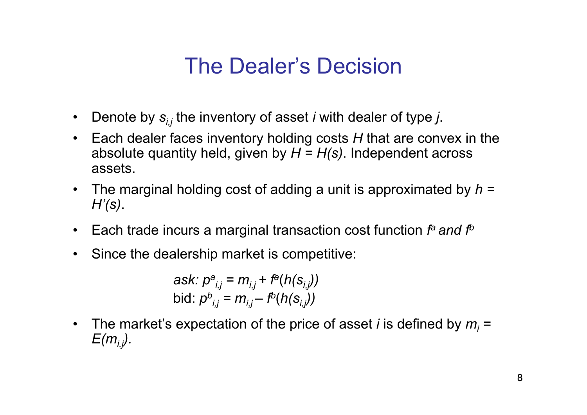## The Dealer's Decision

- •Denote by *si,j* the inventory of asset *i* with dealer of type *j*.
- $\bullet$  Each dealer faces inventory holding costs *H* that are convex in the absolute quantity held, given by *H = H(s)*. Independent across assets.
- $\bullet$  The marginal holding cost of adding a unit is approximated by *h = H'(s)*.
- $\bullet$ Each trade incurs a marginal transaction cost function  $f^a$  and  $f^b$
- $\bullet$ Since the dealership market is competitive:

*ask: p a i,j = mi,j + fa* (*h(si,j))* bid:  $\rho^b$  $\hat{m}_{i,j} = m_{i,j} - f^{\!\!b}(h(\bm{\mathrm{s}}_{i,j}))$ 

 $\bullet$ The market's expectation of the price of asset *i* is defined by  $m_i$  =  $E(m_i)$ .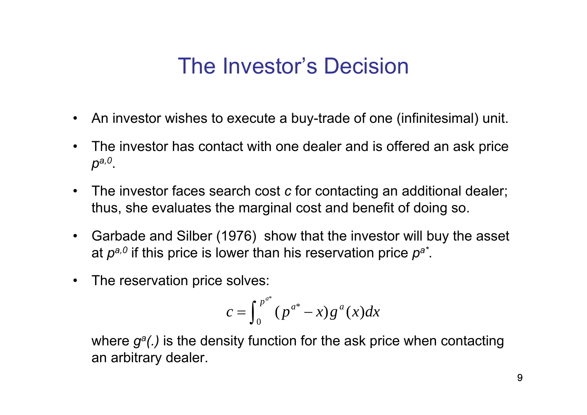### The Investor's Decision

- An investor wishes to execute a buy-trade of one (infinitesimal) unit.
- • The investor has contact with one dealer and is offered an ask price *pa,0*.
- $\bullet$  The investor faces search cost *c* for contacting an additional dealer; thus, she evaluates the marginal cost and benefit of doing so.
- $\bullet$  Garbade and Silber (1976) show that the investor will buy the asset at *pa,0* if this price is lower than his reservation price *p<sup>a</sup>\**.
- The reservation price solves:

$$
c = \int_0^{p^{a^*}} (p^{a^*} - x) g^a(x) dx
$$

where  $g^a$ *(.)* is the density function for the ask price when contacting an arbitrary dealer.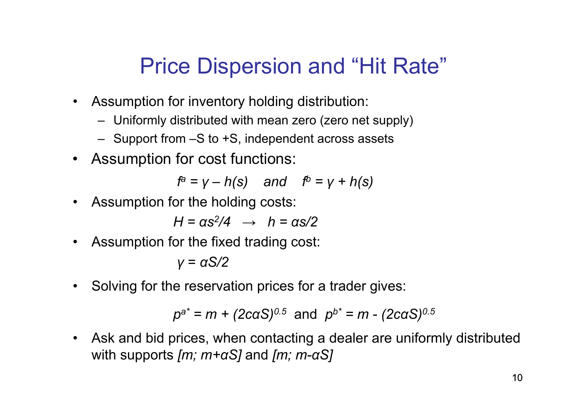## Price Dispersion and "Hit Rate"

- Assumption for inventory holding distribution:
	- Uniformly distributed with mean zero (zero net supply)
	- Support from –S to +S, independent across assets
- Assumption for cost functions:

*f a = γ – h(s) and fb <sup>=</sup> γ <sup>+</sup> h(s)*

• Assumption for the holding costs:

*H = αs2/4 → h = αs/2*

 $\bullet$ Assumption for the fixed trading cost:

*γ* <sup>=</sup> *αS/2*

 $\bullet$ Solving for the reservation prices for a trader gives:

$$
p^{a*} = m + (2caS)^{0.5}
$$
 and  $p^{b*} = m - (2caS)^{0.5}$ 

 $\bullet$  Ask and bid prices, when contacting a dealer are uniformly distributed with supports *[m; m+ <sup>α</sup>S]* and *[m; m-αS]*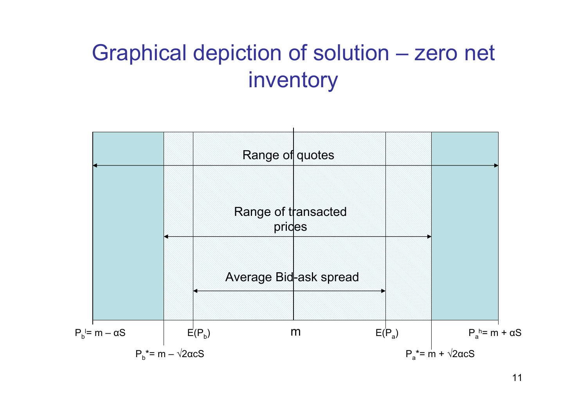# Graphical depiction of solution – zero net inventory

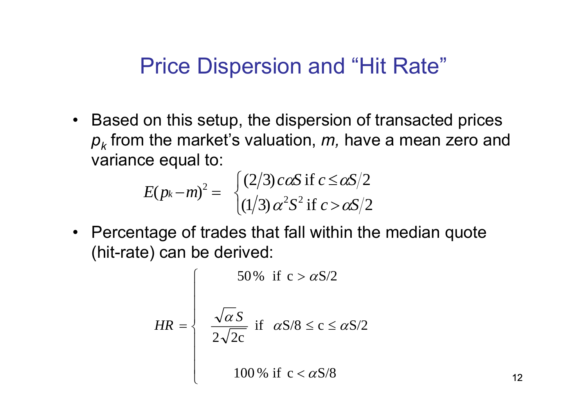#### Price Dispersion and "Hit Rate"

• Based on this setup, the dispersion of transacted prices *p k* from the market's valuation, *m,* have a mean zero and variance equal to:

$$
E(p_k-m)^2 = \begin{cases} (2/3) \cos \text{if } c \le \alpha s/2\\ (1/3) \alpha^2 s^2 \text{ if } c > \alpha s/2 \end{cases}
$$

• Percentage of trades that fall within the median quote (hit-rate) can be derived:

$$
HR = \begin{cases} 50\% & \text{if } c > \alpha S/2\\ \frac{\sqrt{\alpha} S}{2\sqrt{2c}} & \text{if } \alpha S/8 \le c \le \alpha S/2\\ 100\% & \text{if } c < \alpha S/8 \end{cases}
$$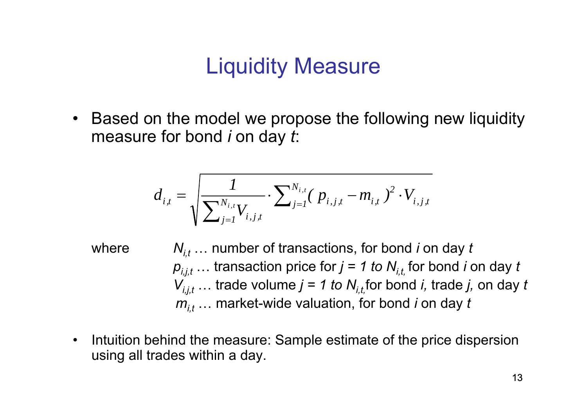## Liquidity Measure

 $\bullet$  Based on the model we propose the following new liquidity measure for bond *i* on day *t*:

$$
d_{i,t} = \sqrt{\frac{1}{\sum_{j=1}^{N_{i,t}} V_{i,j,t}} \cdot \sum_{j=1}^{N_{i,t}} (p_{i,j,t} - m_{i,t})^2 \cdot V_{i,j,t}}
$$

- where *Ni,t* … number of transactions, for bond *i* on day *t*  $\bm{p}_{i,j,t}$  … transaction price for  $j$  = 1 to  $\bm{N}_{i,t_i}$  for bond *i* on day  $t$ *Vi,j,t* … trade volume *j = 1 to Ni,t,*for bond *i,* trade *j,* on day *t mi,t* … market-wide valuation, for bond *i* on day *t*
- $\bullet$  Intuition behind the measure: Sample estimate of the price dispersion using all trades within a day.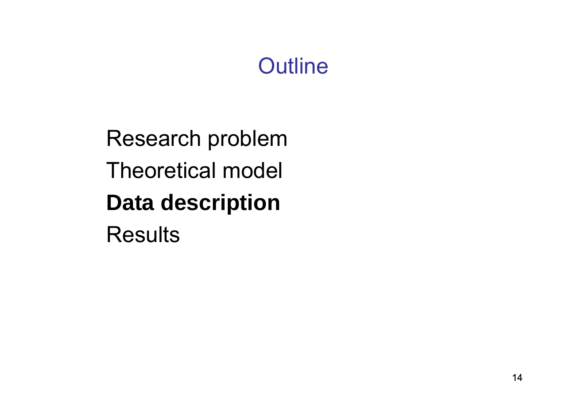# **Outline**

Research problem Theoretical model **Data description Results**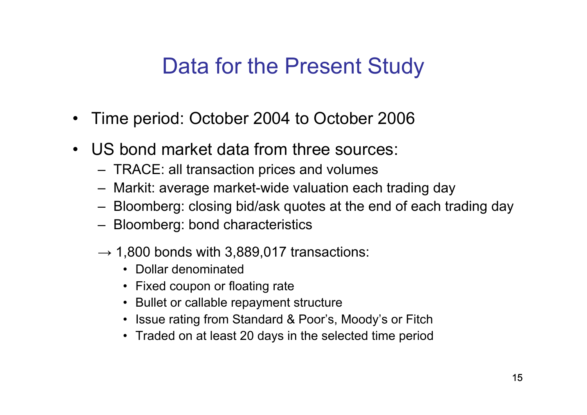#### Data for the Present Study

- $\bullet$ Time period: October 2004 to October 2006
- $\bullet$  US bond market data from three sources:
	- TRACE: all transaction prices and volumes
	- Markit: average market-wide valuation each trading day
	- Bloomberg: closing bid/ask quotes at the end of each trading day
	- Bloomberg: bond characteristics
	- $\rightarrow$  1,800 bonds with 3,889,017 transactions:
		- Dollar denominated
		- Fixed coupon or floating rate
		- Bullet or callable repayment structure
		- Issue rating from Standard & Poor's, Moody's or Fitch
		- Traded on at least 20 days in the selected time period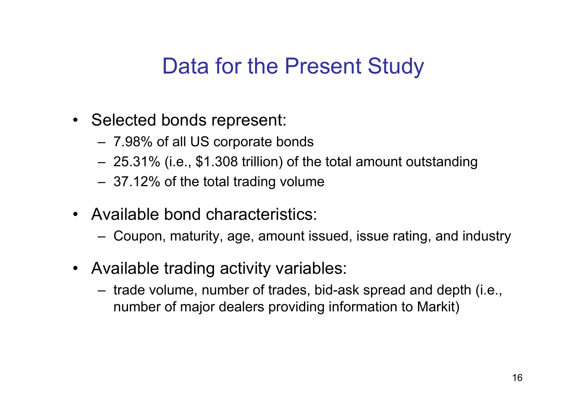#### Data for the Present Study

- Selected bonds represent:
	- 7.98% of all US corporate bonds
	- 25.31% (i.e., \$1.308 trillion) of the total amount outstanding
	- 37.12% of the total trading volume
- Available bond characteristics:
	- Coupon, maturity, age, amount issued, issue rating, and industry
- Available trading activity variables:
	- trade volume, number of trades, bid-ask spread and depth (i.e., number of major dealers providing information to Markit)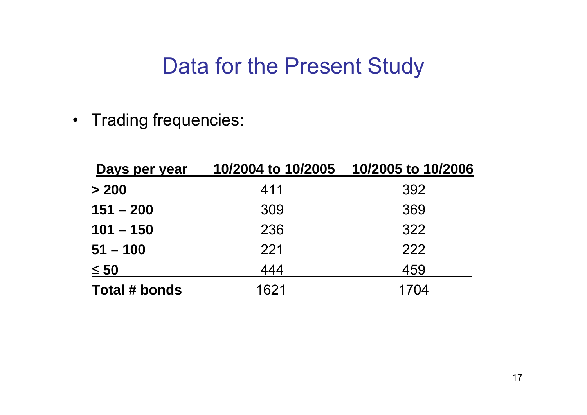#### Data for the Present Study

• Trading frequencies:

| Days per year | 10/2004 to 10/2005 | 10/2005 to 10/2006 |  |
|---------------|--------------------|--------------------|--|
| > 200         | 411                | 392                |  |
| $151 - 200$   | 309                | 369                |  |
| $101 - 150$   | 236                | 322                |  |
| $51 - 100$    | 221                | 222                |  |
| $\leq 50$     | 444                | 459                |  |
| Total # bonds | 1621               | 1704               |  |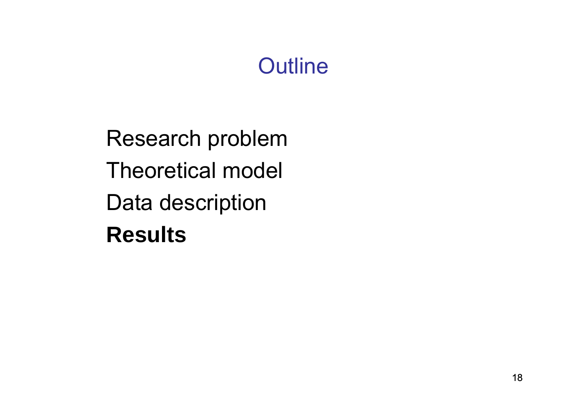# **Outline**

Research problem Theoretical model Data description **Results**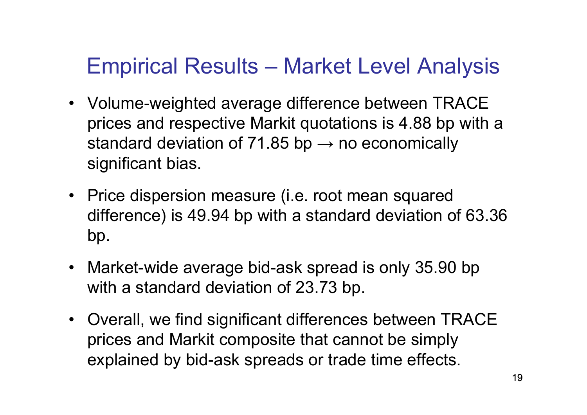# Empirical Results – Market Level Analysis

- Volume-weighted average difference between TRACE prices and respective Markit quotations is 4.88 bp with a standard deviation of 71.85 bp  $\rightarrow$  no economically significant bias.
- Price dispersion measure (i.e. root mean squared difference) is 49.94 bp with a standard deviation of 63.36 bp.
- Market-wide average bid-ask spread is only 35.90 bp with a standard deviation of 23.73 bp.
- Overall, we find significant differences between TRACE prices and Markit composite that cannot be simply explained by bid-ask spreads or trade time effects.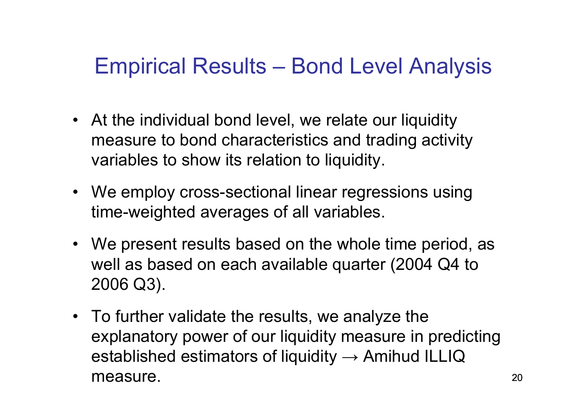## Empirical Results – Bond Level Analysis

- At the individual bond level, we relate our liquidity measure to bond characteristics and trading activity variables to show its relation to liquidity.
- We employ cross-sectional linear regressions using time-weighted averages of all variables.
- We present results based on the whole time period, as well as based on each available quarter (2004 Q4 to 2006 Q3).
- To further validate the results, we analyze the explanatory power of our liquidity measure in predicting established estimators of liquidity  $\rightarrow$  Amihud ILLIQ measure.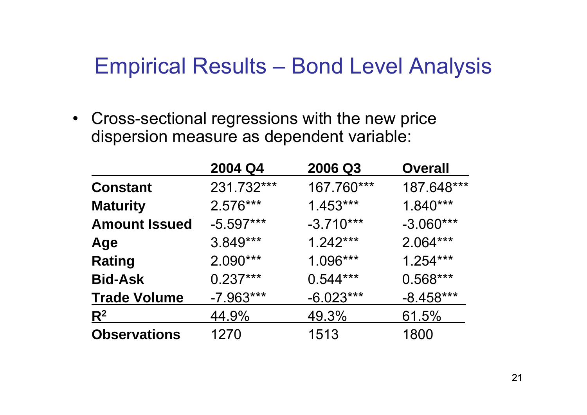#### Empirical Results – Bond Level Analysis

• Cross-sectional regressions with the new price dispersion measure as dependent variable:

|                      | 2004 Q4     | 2006 Q3     | <b>Overall</b> |
|----------------------|-------------|-------------|----------------|
| <b>Constant</b>      | 231.732***  | 167.760***  | 187.648***     |
| <b>Maturity</b>      | $2.576***$  | $1.453***$  | $1.840***$     |
| <b>Amount Issued</b> | $-5.597***$ | $-3.710***$ | $-3.060***$    |
| Age                  | $3.849***$  | $1.242***$  | $2.064***$     |
| <b>Rating</b>        | $2.090***$  | $1.096***$  | $1.254***$     |
| <b>Bid-Ask</b>       | $0.237***$  | $0.544***$  | $0.568***$     |
| <b>Trade Volume</b>  | $-7.963***$ | $-6.023***$ | $-8.458***$    |
| R <sup>2</sup>       | 44.9%       | 49.3%       | 61.5%          |
| <b>Observations</b>  | 1270        | 1513        | 1800           |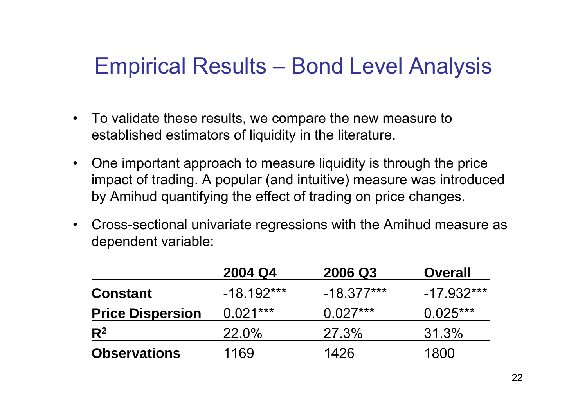## Empirical Results – Bond Level Analysis

- To validate these results, we compare the new measure to established estimators of liquidity in the literature.
- One important approach to measure liquidity is through the price impact of trading. A popular (and intuitive) measure was introduced by Amihud quantifying the effect of trading on price changes.
- $\bullet$  Cross-sectional univariate regressions with the Amihud measure as dependent variable:

|                         | 2004 Q4      | 2006 Q3      | <b>Overall</b> |
|-------------------------|--------------|--------------|----------------|
| <b>Constant</b>         | $-18.192***$ | $-18.377***$ | $-17.932***$   |
| <b>Price Dispersion</b> | $0.021***$   | $0.027***$   | $0.025***$     |
| $R^2$                   | $22.0\%$     | <b>27.3%</b> | 31.3%          |
| <b>Observations</b>     | 1169         | 1426         | 1800           |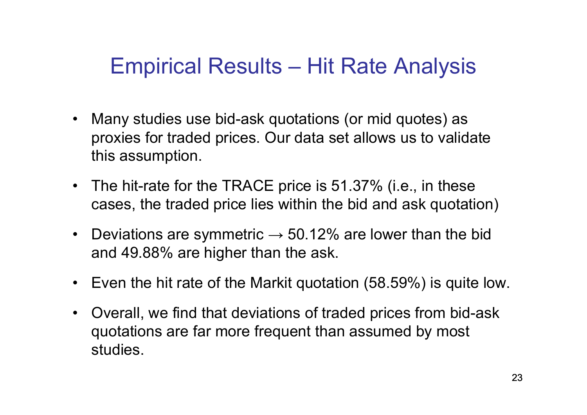## Empirical Results – Hit Rate Analysis

- • Many studies use bid-ask quotations (or mid quotes) as proxies for traded prices. Our data set allows us to validate this assumption.
- The hit-rate for the TRACE price is 51.37% (i.e., in these cases, the traded price lies within the bid and ask quotation)
- $\bullet$ Deviations are symmetric  $\rightarrow$  50.12% are lower than the bid and 49.88% are higher than the ask.
- Even the hit rate of the Markit quotation (58.59%) is quite low.
- $\bullet$  Overall, we find that deviations of traded prices from bid-ask quotations are far more frequent than assumed by most studies.